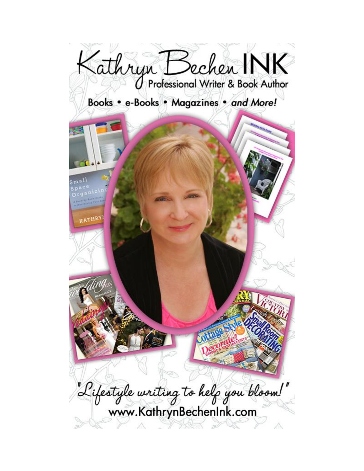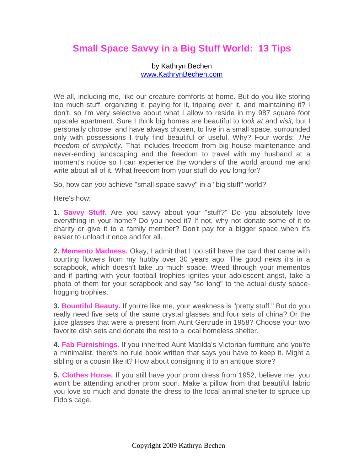## **Small Space Savvy in a Big Stuff World: 13 Tips**

## by Kathryn Bechen [www.KathrynBechen.com](http://www.kathrynbechen.com/)

We all, including me, like our creature comforts at home. But do you like storing too much stuff, organizing it, paying for it, tripping over it, and maintaining it? I don't, so I'm very selective about what I allow to reside in my 987 square foot upscale apartment. Sure I think big homes are beautiful to *look at* and *visit,* but I personally choose, and have always chosen, to live in a small space, surrounded only with possessions I truly find beautiful or useful. Why? Four words: *The freedom of simplicity.* That includes freedom from big house maintenance and never-ending landscaping and the freedom to travel with my husband at a moment's notice so I can experience the wonders of the world around me and write about all of it. What freedom from your stuff do *you* long for?

So, how can *you* achieve "small space savvy" in a "big stuff" world?

Here's how:

**1. Savvy Stuff.** Are you savvy about your "stuff?" Do you absolutely love everything in your home? Do you need it? If not, why not donate some of it to charity or give it to a family member? Don't pay for a bigger space when it's easier to unload it once and for all.

**2. Memento Madness.** Okay, I admit that I too still have the card that came with courting flowers from my hubby over 30 years ago. The good news it's in a scrapbook, which doesn't take up much space. Weed through your mementos and if parting with your football trophies ignites your adolescent angst, take a photo of them for your scrapbook and say "so long" to the actual dusty spacehogging trophies.

**3. Bountiful Beauty.** If you're like me, your weakness is "pretty stuff." But do you really need five sets of the same crystal glasses and four sets of china? Or the juice glasses that were a present from Aunt Gertrude in 1958? Choose your two favorite dish sets and donate the rest to a local homeless shelter.

**4. Fab Furnishings.** If you inherited Aunt Matilda's Victorian furniture and you're a minimalist, there's no rule book written that says you have to keep it. Might a sibling or a cousin like it? How about consigning it to an antique store?

**5. Clothes Horse.** If you still have your prom dress from 1952, believe me, you won't be attending another prom soon. Make a pillow from that beautiful fabric you love so much and donate the dress to the local animal shelter to spruce up Fido's cage.